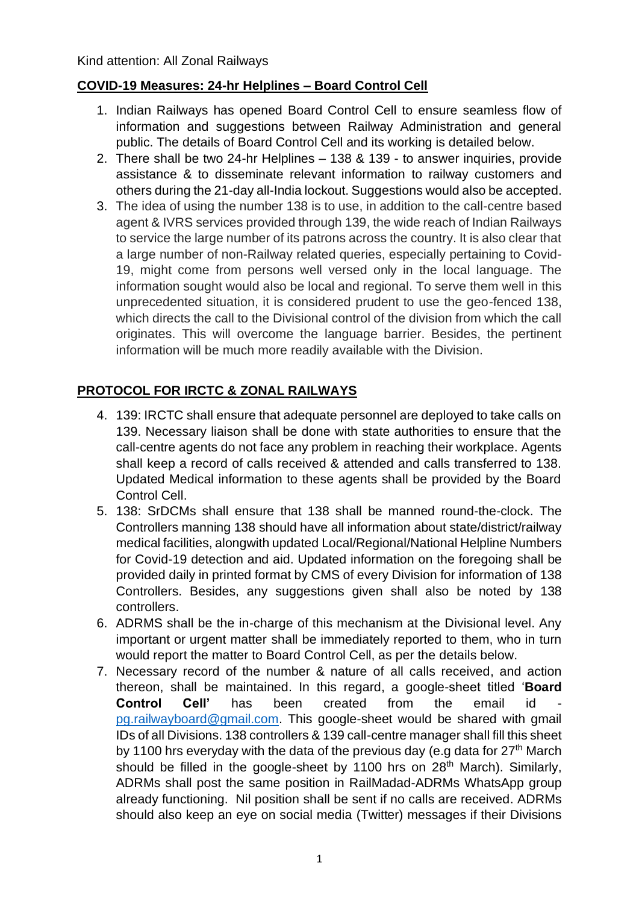## **COVID-19 Measures: 24-hr Helplines – Board Control Cell**

- 1. Indian Railways has opened Board Control Cell to ensure seamless flow of information and suggestions between Railway Administration and general public. The details of Board Control Cell and its working is detailed below.
- 2. There shall be two 24-hr Helplines 138 & 139 to answer inquiries, provide assistance & to disseminate relevant information to railway customers and others during the 21-day all-India lockout. Suggestions would also be accepted.
- 3. The idea of using the number 138 is to use, in addition to the call-centre based agent & IVRS services provided through 139, the wide reach of Indian Railways to service the large number of its patrons across the country. It is also clear that a large number of non-Railway related queries, especially pertaining to Covid-19, might come from persons well versed only in the local language. The information sought would also be local and regional. To serve them well in this unprecedented situation, it is considered prudent to use the geo-fenced 138, which directs the call to the Divisional control of the division from which the call originates. This will overcome the language barrier. Besides, the pertinent information will be much more readily available with the Division.

## **PROTOCOL FOR IRCTC & ZONAL RAILWAYS**

- 4. 139: IRCTC shall ensure that adequate personnel are deployed to take calls on 139. Necessary liaison shall be done with state authorities to ensure that the call-centre agents do not face any problem in reaching their workplace. Agents shall keep a record of calls received & attended and calls transferred to 138. Updated Medical information to these agents shall be provided by the Board Control Cell.
- 5. 138: SrDCMs shall ensure that 138 shall be manned round-the-clock. The Controllers manning 138 should have all information about state/district/railway medical facilities, alongwith updated Local/Regional/National Helpline Numbers for Covid-19 detection and aid. Updated information on the foregoing shall be provided daily in printed format by CMS of every Division for information of 138 Controllers. Besides, any suggestions given shall also be noted by 138 controllers.
- 6. ADRMS shall be the in-charge of this mechanism at the Divisional level. Any important or urgent matter shall be immediately reported to them, who in turn would report the matter to Board Control Cell, as per the details below.
- 7. Necessary record of the number & nature of all calls received, and action thereon, shall be maintained. In this regard, a google-sheet titled '**Board Control Cell'** has been created from the email id [pg.railwayboard@gmail.com.](mailto:pg.railwayboard@gmail.com) This google-sheet would be shared with gmail IDs of all Divisions. 138 controllers & 139 call-centre manager shall fill this sheet by 1100 hrs everyday with the data of the previous day (e.g data for  $27<sup>th</sup>$  March should be filled in the google-sheet by 1100 hrs on 28<sup>th</sup> March). Similarly, ADRMs shall post the same position in RailMadad-ADRMs WhatsApp group already functioning. Nil position shall be sent if no calls are received. ADRMs should also keep an eye on social media (Twitter) messages if their Divisions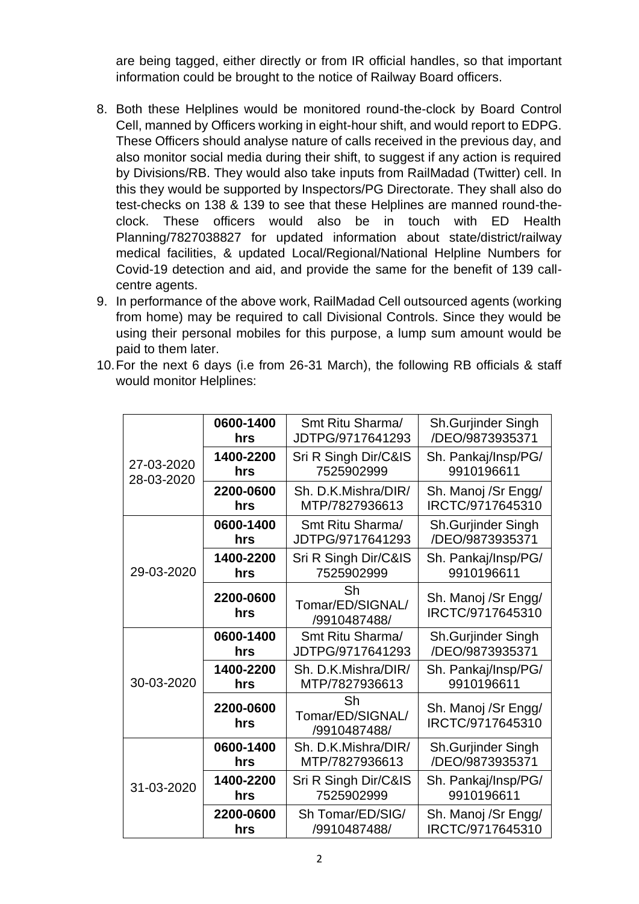are being tagged, either directly or from IR official handles, so that important information could be brought to the notice of Railway Board officers.

- 8. Both these Helplines would be monitored round-the-clock by Board Control Cell, manned by Officers working in eight-hour shift, and would report to EDPG. These Officers should analyse nature of calls received in the previous day, and also monitor social media during their shift, to suggest if any action is required by Divisions/RB. They would also take inputs from RailMadad (Twitter) cell. In this they would be supported by Inspectors/PG Directorate. They shall also do test-checks on 138 & 139 to see that these Helplines are manned round-theclock. These officers would also be in touch with ED Health Planning/7827038827 for updated information about state/district/railway medical facilities, & updated Local/Regional/National Helpline Numbers for Covid-19 detection and aid, and provide the same for the benefit of 139 callcentre agents.
- 9. In performance of the above work, RailMadad Cell outsourced agents (working from home) may be required to call Divisional Controls. Since they would be using their personal mobiles for this purpose, a lump sum amount would be paid to them later.
- 10.For the next 6 days (i.e from 26-31 March), the following RB officials & staff would monitor Helplines:

| 27-03-2020<br>28-03-2020 | 0600-1400<br>hrs | Smt Ritu Sharma/<br>JDTPG/9717641293   | Sh.Gurjinder Singh<br>/DEO/9873935371   |
|--------------------------|------------------|----------------------------------------|-----------------------------------------|
|                          | 1400-2200<br>hrs | Sri R Singh Dir/C&IS<br>7525902999     | Sh. Pankaj/Insp/PG/<br>9910196611       |
|                          | 2200-0600<br>hrs | Sh. D.K.Mishra/DIR/<br>MTP/7827936613  | Sh. Manoj /Sr Engg/<br>IRCTC/9717645310 |
| 29-03-2020               | 0600-1400<br>hrs | Smt Ritu Sharma/<br>JDTPG/9717641293   | Sh.Gurjinder Singh<br>/DEO/9873935371   |
|                          | 1400-2200<br>hrs | Sri R Singh Dir/C&IS<br>7525902999     | Sh. Pankaj/Insp/PG/<br>9910196611       |
|                          | 2200-0600<br>hrs | Sh<br>Tomar/ED/SIGNAL/<br>/9910487488/ | Sh. Manoj /Sr Engg/<br>IRCTC/9717645310 |
| 30-03-2020               | 0600-1400<br>hrs | Smt Ritu Sharma/<br>JDTPG/9717641293   | Sh.Gurjinder Singh<br>/DEO/9873935371   |
|                          | 1400-2200<br>hrs | Sh. D.K.Mishra/DIR/<br>MTP/7827936613  | Sh. Pankaj/Insp/PG/<br>9910196611       |
|                          | 2200-0600<br>hrs | Sh<br>Tomar/ED/SIGNAL/<br>/9910487488/ | Sh. Manoj /Sr Engg/<br>IRCTC/9717645310 |
| 31-03-2020               | 0600-1400<br>hrs | Sh. D.K.Mishra/DIR/<br>MTP/7827936613  | Sh.Gurjinder Singh<br>/DEO/9873935371   |
|                          | 1400-2200<br>hrs | Sri R Singh Dir/C&IS<br>7525902999     | Sh. Pankaj/Insp/PG/<br>9910196611       |
|                          | 2200-0600<br>hrs | Sh Tomar/ED/SIG/<br>/9910487488/       | Sh. Manoj /Sr Engg/<br>IRCTC/9717645310 |